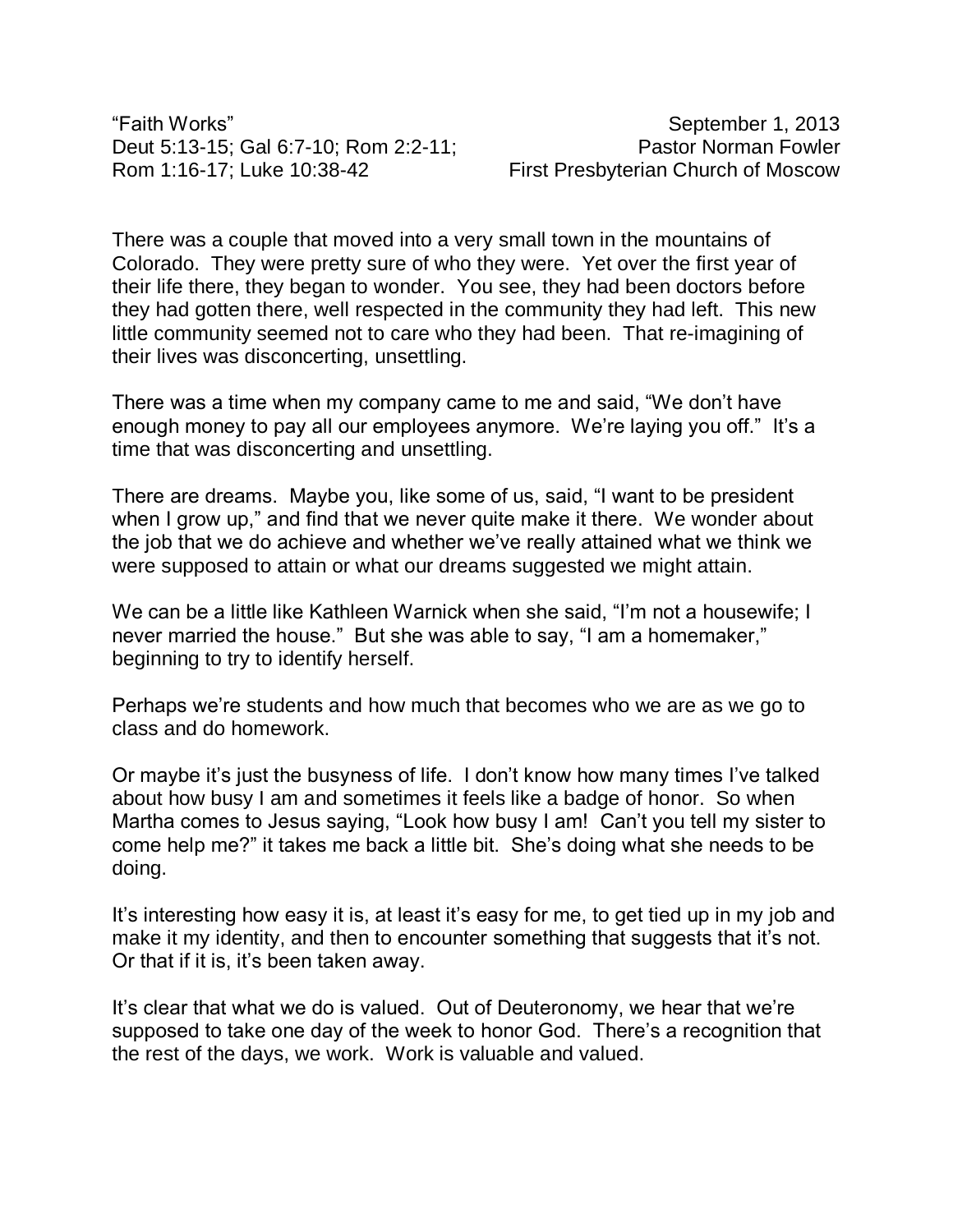"Faith Works" September 1, 2013 Deut 5:13-15; Gal 6:7-10; Rom 2:2-11; Pastor Norman Fowler Rom 1:16-17; Luke 10:38-42 First Presbyterian Church of Moscow

There was a couple that moved into a very small town in the mountains of Colorado. They were pretty sure of who they were. Yet over the first year of their life there, they began to wonder. You see, they had been doctors before they had gotten there, well respected in the community they had left. This new little community seemed not to care who they had been. That re-imagining of their lives was disconcerting, unsettling.

There was a time when my company came to me and said, "We don't have enough money to pay all our employees anymore. We're laying you off." It's a time that was disconcerting and unsettling.

There are dreams. Maybe you, like some of us, said, "I want to be president when I grow up," and find that we never quite make it there. We wonder about the job that we do achieve and whether we've really attained what we think we were supposed to attain or what our dreams suggested we might attain.

We can be a little like Kathleen Warnick when she said, "I'm not a housewife; I never married the house." But she was able to say, "I am a homemaker," beginning to try to identify herself.

Perhaps we're students and how much that becomes who we are as we go to class and do homework.

Or maybe it's just the busyness of life. I don't know how many times I've talked about how busy I am and sometimes it feels like a badge of honor. So when Martha comes to Jesus saying, "Look how busy I am! Can't you tell my sister to come help me?" it takes me back a little bit. She's doing what she needs to be doing.

It's interesting how easy it is, at least it's easy for me, to get tied up in my job and make it my identity, and then to encounter something that suggests that it's not. Or that if it is, it's been taken away.

It's clear that what we do is valued. Out of Deuteronomy, we hear that we're supposed to take one day of the week to honor God. There's a recognition that the rest of the days, we work. Work is valuable and valued.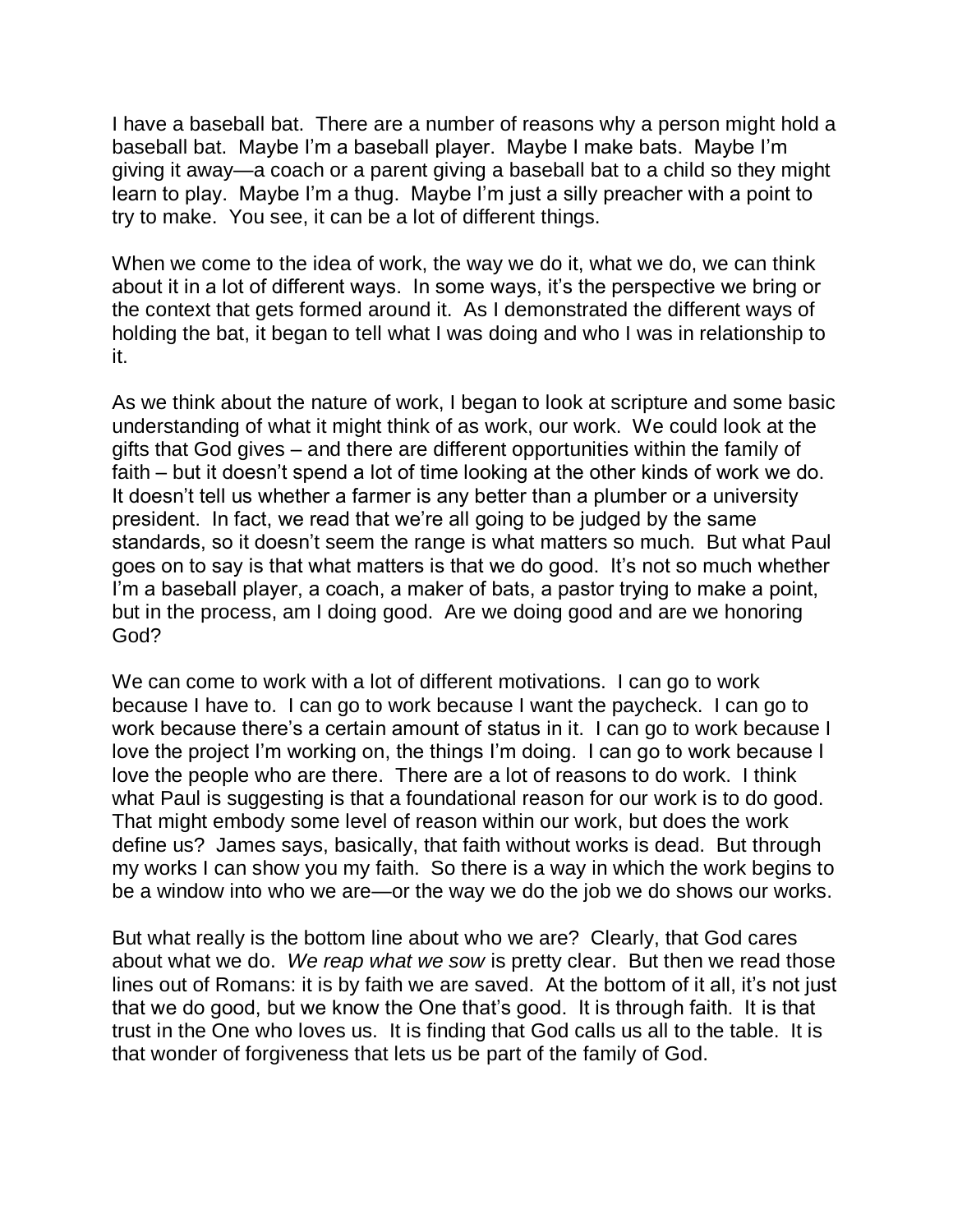I have a baseball bat. There are a number of reasons why a person might hold a baseball bat. Maybe I'm a baseball player. Maybe I make bats. Maybe I'm giving it away—a coach or a parent giving a baseball bat to a child so they might learn to play. Maybe I'm a thug. Maybe I'm just a silly preacher with a point to try to make. You see, it can be a lot of different things.

When we come to the idea of work, the way we do it, what we do, we can think about it in a lot of different ways. In some ways, it's the perspective we bring or the context that gets formed around it. As I demonstrated the different ways of holding the bat, it began to tell what I was doing and who I was in relationship to it.

As we think about the nature of work, I began to look at scripture and some basic understanding of what it might think of as work, our work. We could look at the gifts that God gives – and there are different opportunities within the family of faith – but it doesn't spend a lot of time looking at the other kinds of work we do. It doesn't tell us whether a farmer is any better than a plumber or a university president. In fact, we read that we're all going to be judged by the same standards, so it doesn't seem the range is what matters so much. But what Paul goes on to say is that what matters is that we do good. It's not so much whether I'm a baseball player, a coach, a maker of bats, a pastor trying to make a point, but in the process, am I doing good. Are we doing good and are we honoring God?

We can come to work with a lot of different motivations. I can go to work because I have to. I can go to work because I want the paycheck. I can go to work because there's a certain amount of status in it. I can go to work because I love the project I'm working on, the things I'm doing. I can go to work because I love the people who are there. There are a lot of reasons to do work. I think what Paul is suggesting is that a foundational reason for our work is to do good. That might embody some level of reason within our work, but does the work define us? James says, basically, that faith without works is dead. But through my works I can show you my faith. So there is a way in which the work begins to be a window into who we are—or the way we do the job we do shows our works.

But what really is the bottom line about who we are? Clearly, that God cares about what we do. *We reap what we sow* is pretty clear. But then we read those lines out of Romans: it is by faith we are saved. At the bottom of it all, it's not just that we do good, but we know the One that's good. It is through faith. It is that trust in the One who loves us. It is finding that God calls us all to the table. It is that wonder of forgiveness that lets us be part of the family of God.